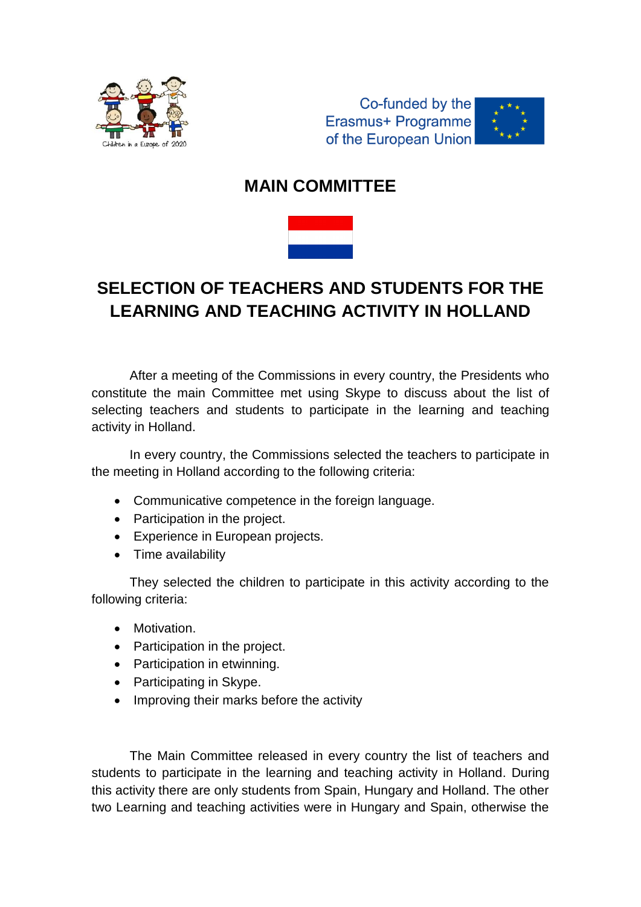

Co-funded by the Erasmus+ Programme of the European Union



# **MAIN COMMITTEE**



# **SELECTION OF TEACHERS AND STUDENTS FOR THE LEARNING AND TEACHING ACTIVITY IN HOLLAND**

After a meeting of the Commissions in every country, the Presidents who constitute the main Committee met using Skype to discuss about the list of selecting teachers and students to participate in the learning and teaching activity in Holland.

In every country, the Commissions selected the teachers to participate in the meeting in Holland according to the following criteria:

- Communicative competence in the foreign language.
- Participation in the project.
- Experience in European projects.
- Time availability

They selected the children to participate in this activity according to the following criteria:

- Motivation.
- Participation in the project.
- Participation in etwinning.
- Participating in Skype.
- Improving their marks before the activity

The Main Committee released in every country the list of teachers and students to participate in the learning and teaching activity in Holland. During this activity there are only students from Spain, Hungary and Holland. The other two Learning and teaching activities were in Hungary and Spain, otherwise the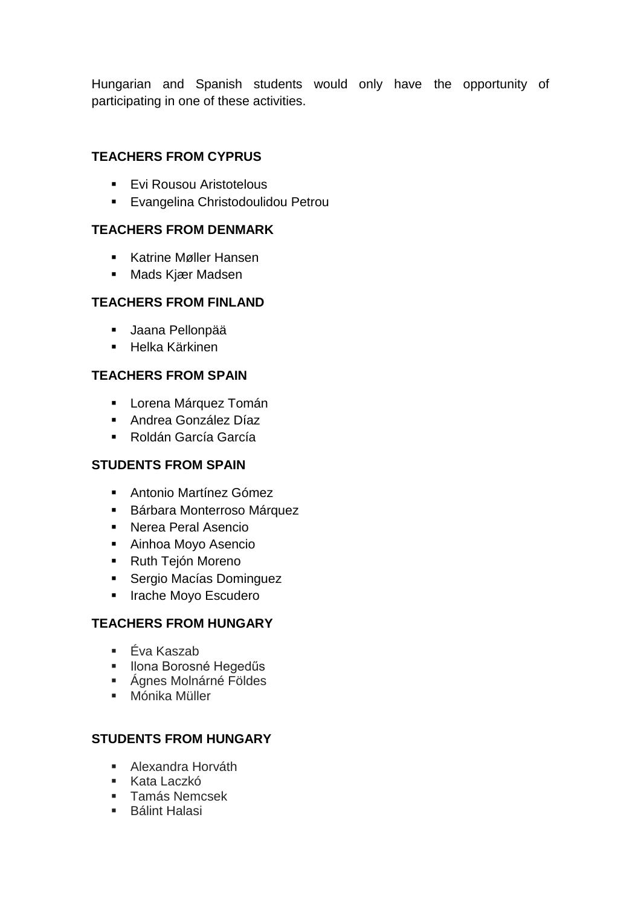Hungarian and Spanish students would only have the opportunity of participating in one of these activities.

# **TEACHERS FROM CYPRUS**

- **Evi Rousou Aristotelous**
- **Evangelina Christodoulidou Petrou**

### **TEACHERS FROM DENMARK**

- Katrine Møller Hansen
- Mads Kjær Madsen

# **TEACHERS FROM FINLAND**

- Jaana Pellonpää
- **Helka Kärkinen**

# **TEACHERS FROM SPAIN**

- **-** Lorena Márquez Tomán
- Andrea González Díaz
- Roldán García García

### **STUDENTS FROM SPAIN**

- Antonio Martínez Gómez
- Bárbara Monterroso Márquez
- Nerea Peral Asencio
- Ainhoa Moyo Asencio
- Ruth Tejón Moreno
- **Sergio Macías Dominguez**
- **Inache Moyo Escudero**

### **TEACHERS FROM HUNGARY**

- Éva Kaszab
- **Ilona Borosné Hegedűs**
- Ágnes Molnárné Földes
- Mónika Müller

### **STUDENTS FROM HUNGARY**

- Alexandra Horváth
- Kata Laczkó
- **Famás Nemcsek**
- **Bálint Halasi**